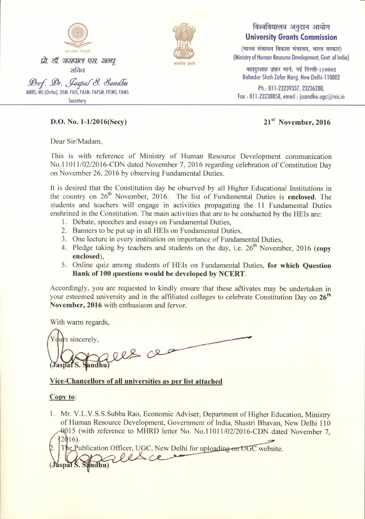



## विश्वविद्यालय अनुदान आयोग **University Grants Commission**

 $($ मानव संसाधन विकास मंत्रालय, भारत सरकार) (Ministry of Human Resource Development, Govt. of India)

बहादुरशाह ज़फ़र मार्ग, नई दिल्ली-110002 Bohodur Shoh Zofor Morg, New Delhi-110002

Ph.: 011-23239337, 23236288, Fax: 011-23238858, email: jssandhu.ugc@nic.in

### D.O. No. l-l/2016(Secy) 2l't November. <sup>2016</sup>

Dear Sir/Madam,

This is with reference of Ministry of Human Resource Development communication No.11011/02/2016-CDN dated November 7, 2016 regarding celebration of Constitution Day on November 26 ,2016 by observing Fundamental Duties.

It is desired that the Constitution day be observed by all Higher Educational Institutions in the country on  $26<sup>th</sup>$  November, 2016. The list of Fundamental Duties is **[enclosed](#page-1-0)**. The students and teachers will engage in activities propagating the 11 Fundamental Duties enshrined in the Constitution. The main activities that are to be conducted by the HEIs are: l. Debate, speeches and essays on Fundamental Duties,

- 
- 2. Banners to be put up in all HEIs on Fundamental Duties,
- 3. One lecture in every institution on importance of Fundamental Duties,
- 4. Pledge taking by teachers and students on the day, i.e.  $26<sup>th</sup>$  November, 2016 [\(copy](#page-2-0) [enclosed\),](#page-2-0)
- 5. Online quiz among students of HEIs on Fundamental Duties, for which Question Bank of 100 questions would be developed by NCERT.

Accordingly, you are requested to kindly ensure that these activates may be undertaken in your esteemed university and in the affiliated colleges to celebrate Constitution Day on 26<sup>th</sup> November, 2016 with enthusiasm and fervor.

With warm regards,

durs sincerely,  $\lambda$ 

#### Vice-Chancellors of all universities as per list attached

#### Copy to:

1. Mr. V.L.V.S.S.Subba Rao, Economic Adviser, Department of Higher Education, Ministry of Human Resource Development, Govemment of India. Shastri Bhavan. New Delhi 110 15 (with reference to MHRD letter No. No.l10l1/02/2016-CDN dated November 7.  $12016$ .

cation Officer, UGC, New Delhi for uploading on UGC website.  $l_{\ell}$ Sandhu)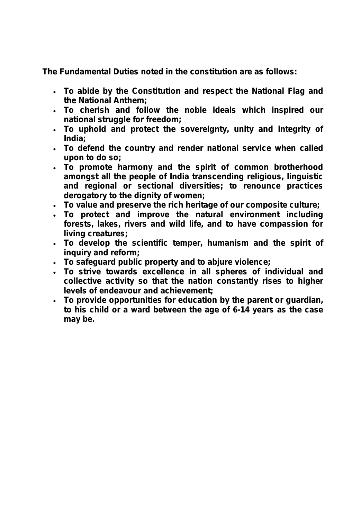<span id="page-1-0"></span>**The Fundamental Duties noted in the constitution are as follows:**

- **To abide by the Constitution and respect the National Flag and the National Anthem;**
- **To cherish and follow the noble ideals which inspired our national struggle for freedom;**
- **To uphold and protect the sovereignty, unity and integrity of India;**
- **To defend the country and render national service when called upon to do so;**
- **To promote harmony and the spirit of common brotherhood amongst all the people of India transcending religious, linguistic and regional or sectional diversities; to renounce practices derogatory to the dignity of women;**
- **To value and preserve the rich heritage of our composite culture;**
- **To protect and improve the natural environment including forests, lakes, rivers and wild life, and to have compassion for living creatures;**
- **To develop the scientific temper, humanism and the spirit of inquiry and reform;**
- **To safeguard public property and to abjure violence;**
- **To strive towards excellence in all spheres of individual and collective activity so that the nation constantly rises to higher levels of endeavour and achievement;**
- **To provide opportunities for education by the parent or guardian, to his child or a ward between the age of 6-14 years as the case may be.**